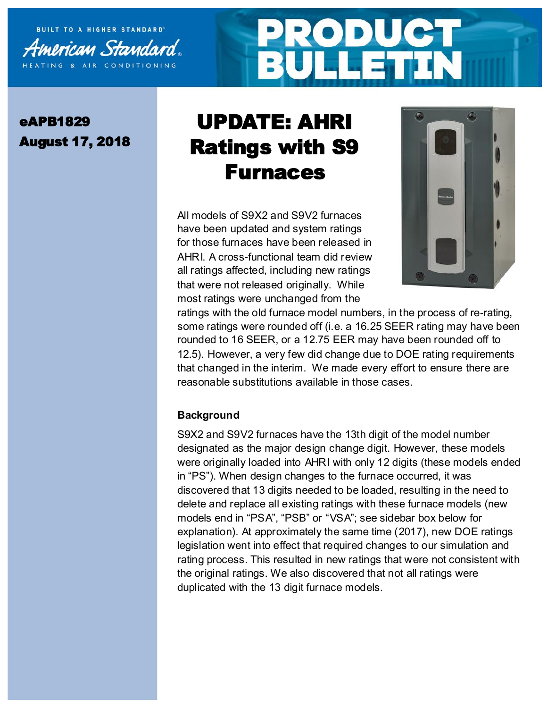



## eAPB1829 August 17, 2018

## UPDATE: AHRI Ratings with S9 Furnaces

All models of S9X2 and S9V2 furnaces have been updated and system ratings for those furnaces have been released in AHRI. A cross-functional team did review all ratings affected, including new ratings that were not released originally. While most ratings were unchanged from the



ratings with the old furnace model numbers, in the process of re-rating, some ratings were rounded off (i.e. a 16.25 SEER rating may have been rounded to 16 SEER, or a 12.75 EER may have been rounded off to 12.5). However, a very few did change due to DOE rating requirements that changed in the interim. We made every effort to ensure there are reasonable substitutions available in those cases.

## **Background**

S9X2 and S9V2 furnaces have the 13th digit of the model number designated as the major design change digit. However, these models were originally loaded into AHRI with only 12 digits (these models ended in "PS"). When design changes to the furnace occurred, it was discovered that 13 digits needed to be loaded, resulting in the need to delete and replace all existing ratings with these furnace models (new models end in "PSA", "PSB" or "VSA"; see sidebar box below for explanation). At approximately the same time (2017), new DOE ratings legislation went into effect that required changes to our simulation and rating process. This resulted in new ratings that were not consistent with the original ratings. We also discovered that not all ratings were duplicated with the 13 digit furnace models.